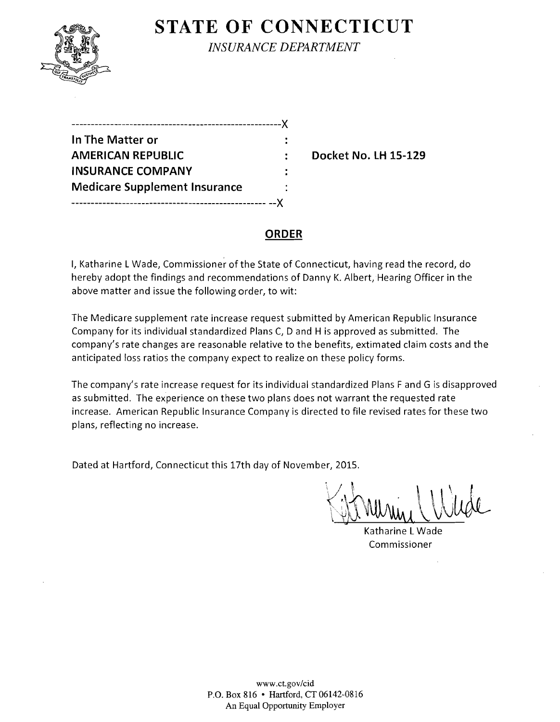

**STATE OF CONNECTICUT** 

*INSURANCE DEPARTMENT* 

| ----------------------------         |  |
|--------------------------------------|--|
| In The Matter or                     |  |
| <b>AMERICAN REPUBLIC</b>             |  |
| <b>INSURANCE COMPANY</b>             |  |
| <b>Medicare Supplement Insurance</b> |  |
| -------------------------            |  |

**Docket No. LH 15-129** 

### **ORDER**

I, Katharine L Wade, Commissioner of the State of Connecticut, having read the record, do hereby adopt the findings and recommendations of Danny K. Albert, Hearing Officer in the above matter and issue the following order, to wit:

The Medicare supplement rate increase request submitted by American Republic Insurance Company for its individual standardized Plans C, D and H is approved as submitted. The company's rate changes are reasonable relative to the benefits, extimated claim costs and the anticipated loss ratios the company expect to realize on these policy forms.

The company's rate increase request for its individual standardized Plans F and G is disapproved as submitted. The experience on these two plans does not warrant the requested rate increase. American Republic Insurance Company is directed to file revised rates for these two plans, reflecting no increase.

Dated at Hartford, Connecticut this 17th day of November, 2015.

 $1/12015.$ 

Katharine L Wade Commissioner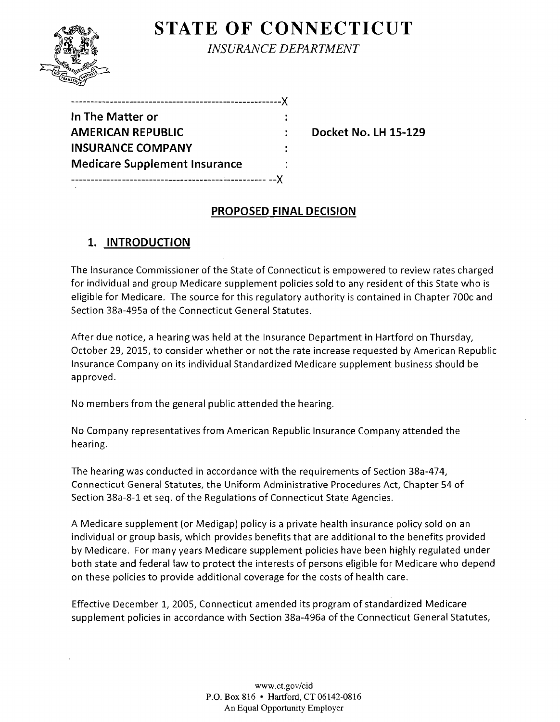# **STATE OF CONNECTICUT**



*INSURANCE DEPARTMENT* 

| In The Matter or                     |  |
|--------------------------------------|--|
| <b>AMERICAN REPUBLIC</b>             |  |
| <b>INSURANCE COMPANY</b>             |  |
| <b>Medicare Supplement Insurance</b> |  |
|                                      |  |

**Docket No. LH 15-129** 

### **PROPOSED FINAL DECISION**

## **1. INTRODUCTION**

The Insurance Commissioner of the State of Connecticut is empowered to review rates charged for individual and group Medicare supplement policies sold to any resident of this State who is eligible for Medicare. The source for this regulatory authority is contained in Chapter 700c and Section 38a-495a of the Connecticut General Statutes.

After due notice, a hearing was held at the Insurance Department in Hartford on Thursday, October 29, 2015, to consider whether or not the rate increase requested by American Republic Insurance Company on its individual Standardized Medicare supplement business should be approved.

No members from the general public attended the hearing.

No Company representatives from American Republic Insurance Company attended the hearing.

The hearing was conducted in accordance with the requirements of Section 38a-474, Connecticut General Statutes, the Uniform Administrative Procedures Act, Chapter 54 of Section 38a-8-1 et seq. of the Regulations of Connecticut State Agencies.

A Medicare supplement (or Medigap) policy is a private health insurance policy sold on an individual or group basis, which provides benefits that are additional to the benefits provided by Medicare. For many years Medicare supplement policies have been highly regulated under both state and federal law to protect the interests of persons eligible for Medicare who depend on these policies to provide additional coverage for the costs of health care.

Effective December 1, 2005, Connecticut amended its program of standardized Medicare supplement policies in accordance with Section 38a-496a of the Connecticut General Statutes,

> www.ct.gov/cid P.O. Box 816 • Hartford, CT 06142-0816 An Equal Opportunity Employer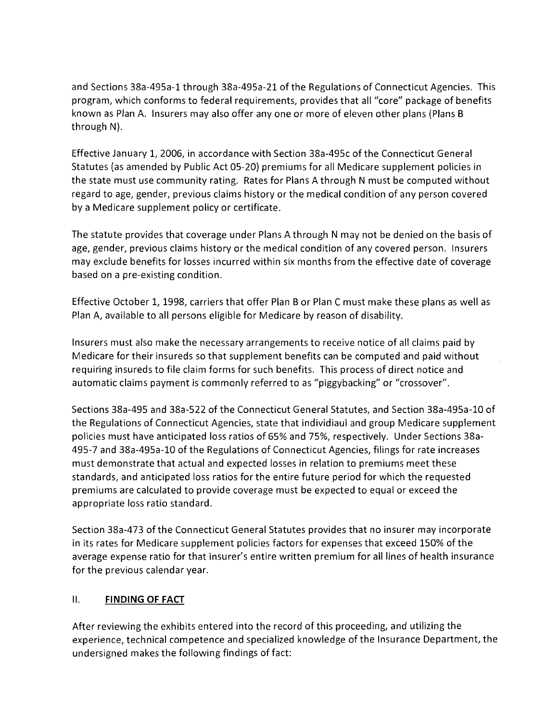and Sections 38a-495a-l through 38a-495a-21 of the Regulations of Connecticut Agencies. This program, which conforms to federal requirements, provides that all "core" package of benefits known as Plan A. Insurers may also offer anyone or more of eleven other plans (Plans B through N).

Effective January 1, 2006, in accordance with Section 38a-495c of the Connecticut General Statutes (as amended by Public Act 05-20) premiums for all Medicare supplement policies in the state must use community rating. Rates for Plans A through N must be computed without regard to age, gender, previous claims history or the medical condition of any person covered by a Medicare supplement policy or certificate.

The statute provides that coverage under Plans A through N may not be denied on the basis of age, gender, previous claims history or the medical condition of any covered person. Insurers may exclude benefits for losses incurred within six months from the effective date of coverage based on a pre-existing condition.

Effective October 1, 1998, carriers that offer Plan B or Plan C must make these plans as well as Plan A, available to all persons eligible for Medicare by reason of disability.

Insurers must also make the necessary arrangements to receive notice of all claims paid by Medicare for their insureds so that supplement benefits can be computed and paid without requiring insureds to file claim forms for such benefits. This process of direct notice and automatic claims payment is commonly referred to as "piggybacking" or "crossover".

Sections 38a-495 and 38a-522 of the Connecticut General Statutes, and Section 38a-495a-l0 of the Regulations of Connecticut Agencies, state that individiaul and group Medicare supplement policies must have anticipated loss ratios of 65% and 75%, respectively. Under Sections 38a-495-7 and 38a-495a-l0 of the Regulations of Connecticut Agencies, filings for rate increases must demonstrate that actual and expected losses in relation to premiums meet these standards, and anticipated loss ratios for the entire future period for which the requested premiums are calculated to provide coverage must be expected to equal or exceed the appropriate loss ratio standard.

Section 38a-473 of the Connecticut General Statutes provides that no insurer may incorporate in its rates for Medicare supplement policies factors for expenses that exceed 150% of the average expense ratio for that insurer's entire written premium for all lines of health insurance for the previous calendar year.

#### II. **FINDING OF FACT**

After reviewing the exhibits entered into the record of this proceeding, and utilizing the experience, technical competence and specialized knowledge of the Insurance Department, the undersigned makes the following findings of fact: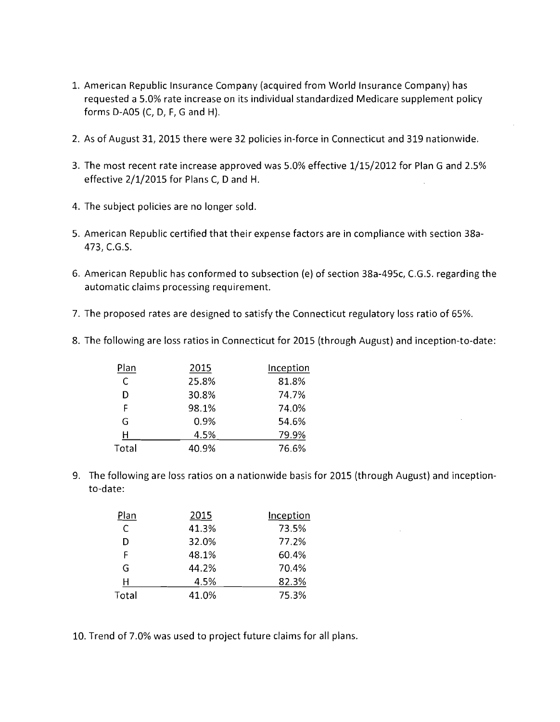- 1. American Republic Insurance Company (acquired from World Insurance Company) has requested a 5.0% rate increase on its individual standardized Medicare supplement policy forms D-A05 (C, D, F, G and H).
- 2. As of August 31, 2015 there were 32 policies in-force in Connecticut and 319 nationwide.
- 3. The most recent rate increase approved was 5.0% effective 1/15/2012 for Plan G and 2.5% effective 2/1/2015 for Plans C, D and H.
- 4. The subject policies are no longer sold.
- 5. American Republic certified that their expense factors are in compliance with section 38a-473, e.G.S.
- 6. American Republic has conformed to subsection (e) of section 38a-495c, C.G.S. regarding the automatic claims processing requirement.
- 7. The proposed rates are designed to satisfy the Connecticut regulatory loss ratio of 65%.
- 8. The following are loss ratios in Connecticut for 2015 (through August) and inception-to-date:

| Plan  | 2015  | Inception |
|-------|-------|-----------|
| C     | 25.8% | 81.8%     |
| D     | 30.8% | 74.7%     |
| F     | 98.1% | 74.0%     |
| G     | 0.9%  | 54.6%     |
| н     | 4.5%  | 79.9%     |
| Total | 40.9% | 76.6%     |

9. The following are loss ratios on a nationwide basis for 2015 (through August) and inceptionto-date:

| Plan  | 2015  | Inception |
|-------|-------|-----------|
| C     | 41.3% | 73.5%     |
| D     | 32.0% | 77.2%     |
| F     | 48.1% | 60.4%     |
| G     | 44.2% | 70.4%     |
| н     | 4.5%  | 82.3%     |
| Total | 41.0% | 75.3%     |

10. Trend of 7.0% was used to project future claims for all plans.